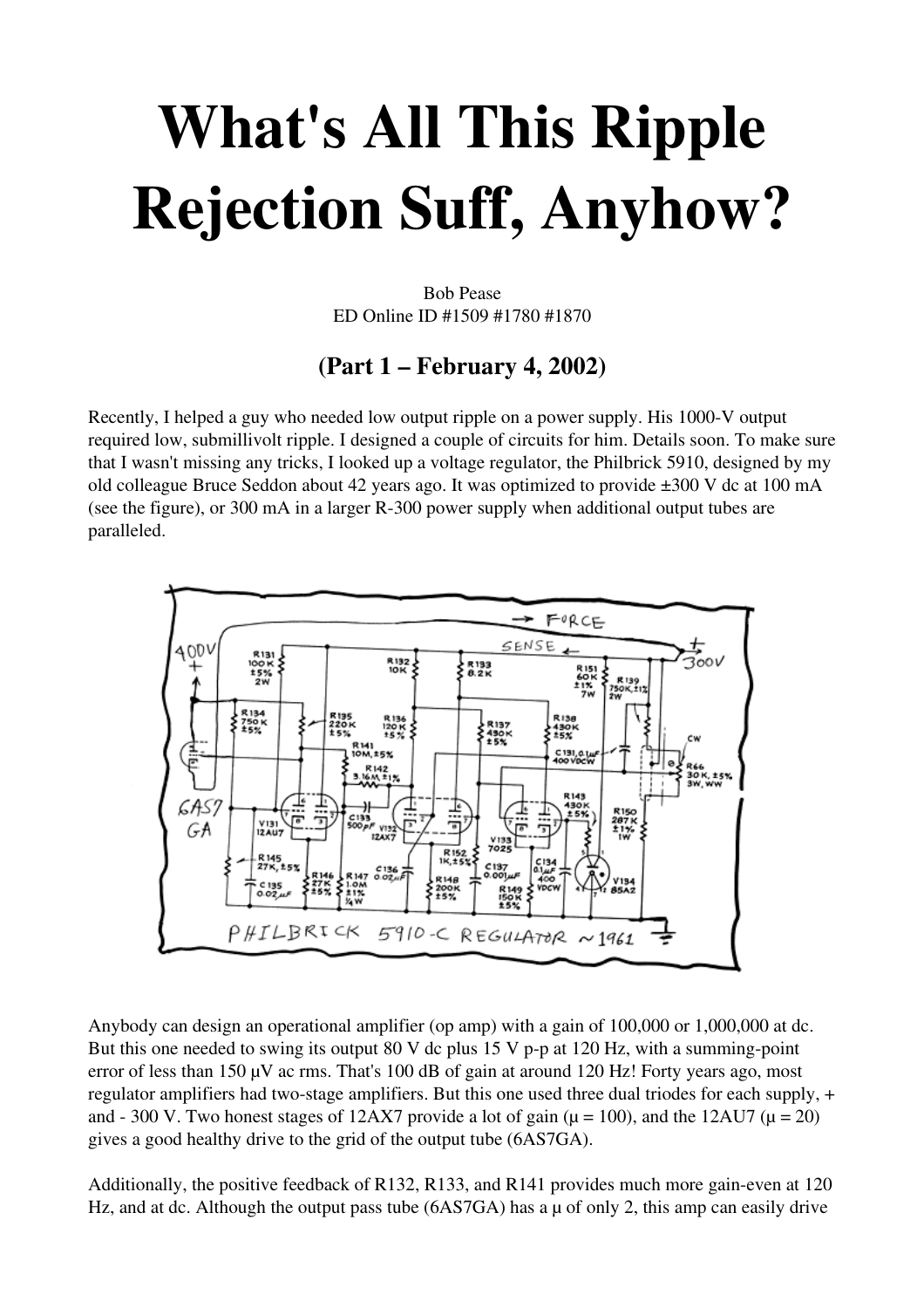## What's All This Ripple Rejection Suff, Anyhow?

Bob Pease ED Online ID #1509 #1780 #1870

## (Part 1 – February 4, 2002)

Recently, I helped a guy who needed low output ripple on a power supply. His 1000-V output required low, submillivolt ripple. I designed a couple of circuits for him. Details soon. To make sure that I wasn't missing any tricks, I looked up a voltage regulator, the Philbrick 5910, designed by my old colleague Bruce Seddon about 42 years ago. It was optimized to provide ±300 V dc at 100 mA (see the figure), or 300 mA in a larger  $R-300$  power supply when additional output tubes are paralleled.



Anybody can design an operational amplifier (op amp) with a gain of 100,000 or 1,000,000 at dc. But this one needed to swing its output 80 V dc plus 15 V p-p at 120 Hz, with a summing-point error of less than 150 µV ac rms. That's 100 dB of gain at around 120 Hz! Forty years ago, most regulator amplifiers had two-stage amplifiers. But this one used three dual triodes for each supply, + and - 300 V. Two honest stages of 12AX7 provide a lot of gain ( $\mu$  = 100), and the 12AU7 ( $\mu$  = 20) gives a good healthy drive to the grid of the output tube (6AS7GA).

Additionally, the positive feedback of R132, R133, and R141 provides much more gain-even at 120 Hz, and at dc. Although the output pass tube (6AS7GA) has a  $\mu$  of only 2, this amp can easily drive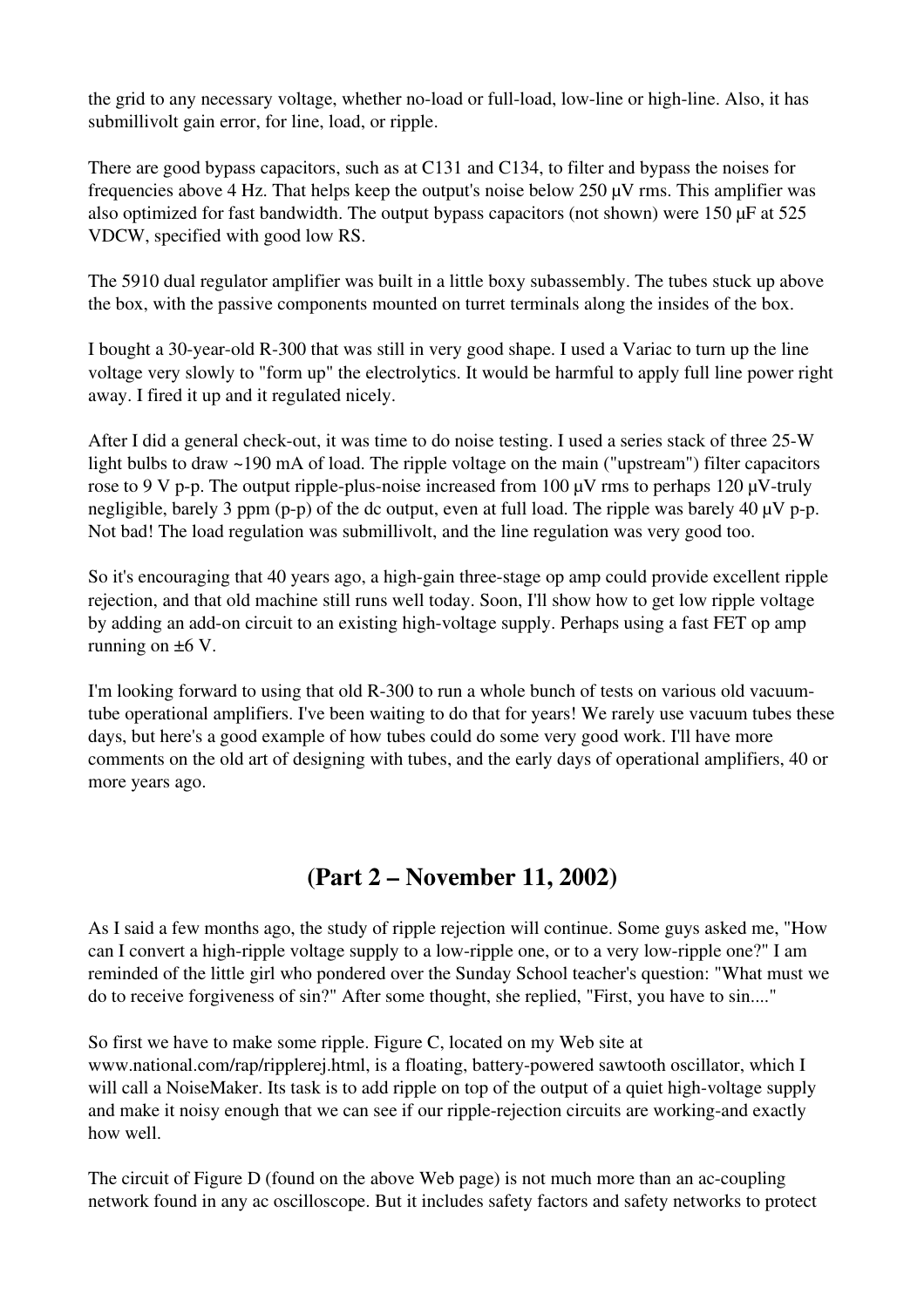the grid to any necessary voltage, whether no-load or full-load, low-line or high-line. Also, it has submillivolt gain error, for line, load, or ripple.

There are good bypass capacitors, such as at C131 and C134, to filter and bypass the noises for frequencies above 4 Hz. That helps keep the output's noise below 250 µV rms. This amplifier was also optimized for fast bandwidth. The output bypass capacitors (not shown) were 150 µF at 525 VDCW, specified with good low RS.

The 5910 dual regulator amplifier was built in a little boxy subassembly. The tubes stuck up above the box, with the passive components mounted on turret terminals along the insides of the box.

I bought a 30-year-old R-300 that was still in very good shape. I used a Variac to turn up the line voltage very slowly to "form up" the electrolytics. It would be harmful to apply full line power right away. I fired it up and it regulated nicely.

After I did a general check-out, it was time to do noise testing. I used a series stack of three 25-W light bulbs to draw ~190 mA of load. The ripple voltage on the main ("upstream") filter capacitors rose to 9 V p-p. The output ripple-plus-noise increased from 100  $\mu$ V rms to perhaps 120  $\mu$ V-truly negligible, barely 3 ppm (p-p) of the dc output, even at full load. The ripple was barely 40  $\mu$ V p-p. Not bad! The load regulation was submillivolt, and the line regulation was very good too.

So it's encouraging that 40 years ago, a high-gain three-stage op amp could provide excellent ripple rejection, and that old machine still runs well today. Soon, I'll show how to get low ripple voltage by adding an add-on circuit to an existing high-voltage supply. Perhaps using a fast FET op amp running on  $\pm 6$  V.

I'm looking forward to using that old R-300 to run a whole bunch of tests on various old vacuumtube operational amplifiers. I've been waiting to do that for years! We rarely use vacuum tubes these days, but here's a good example of how tubes could do some very good work. I'll have more comments on the old art of designing with tubes, and the early days of operational amplifiers, 40 or more years ago.

## (Part 2 – November 11, 2002)

As I said a few months ago, the study of ripple rejection will continue. Some guys asked me, "How can I convert a high-ripple voltage supply to a low-ripple one, or to a very low-ripple one?" I am reminded of the little girl who pondered over the Sunday School teacher's question: "What must we do to receive forgiveness of sin?" After some thought, she replied, "First, you have to sin...."

So first we have to make some ripple. Figure C, located on my Web site at www.national.com/rap/ripplerej.html, is a floating, battery-powered sawtooth oscillator, which I will call a NoiseMaker. Its task is to add ripple on top of the output of a quiet high-voltage supply and make it noisy enough that we can see if our ripple-rejection circuits are working-and exactly how well.

The circuit of Figure D (found on the above Web page) is not much more than an accoupling network found in any ac oscilloscope. But it includes safety factors and safety networks to protect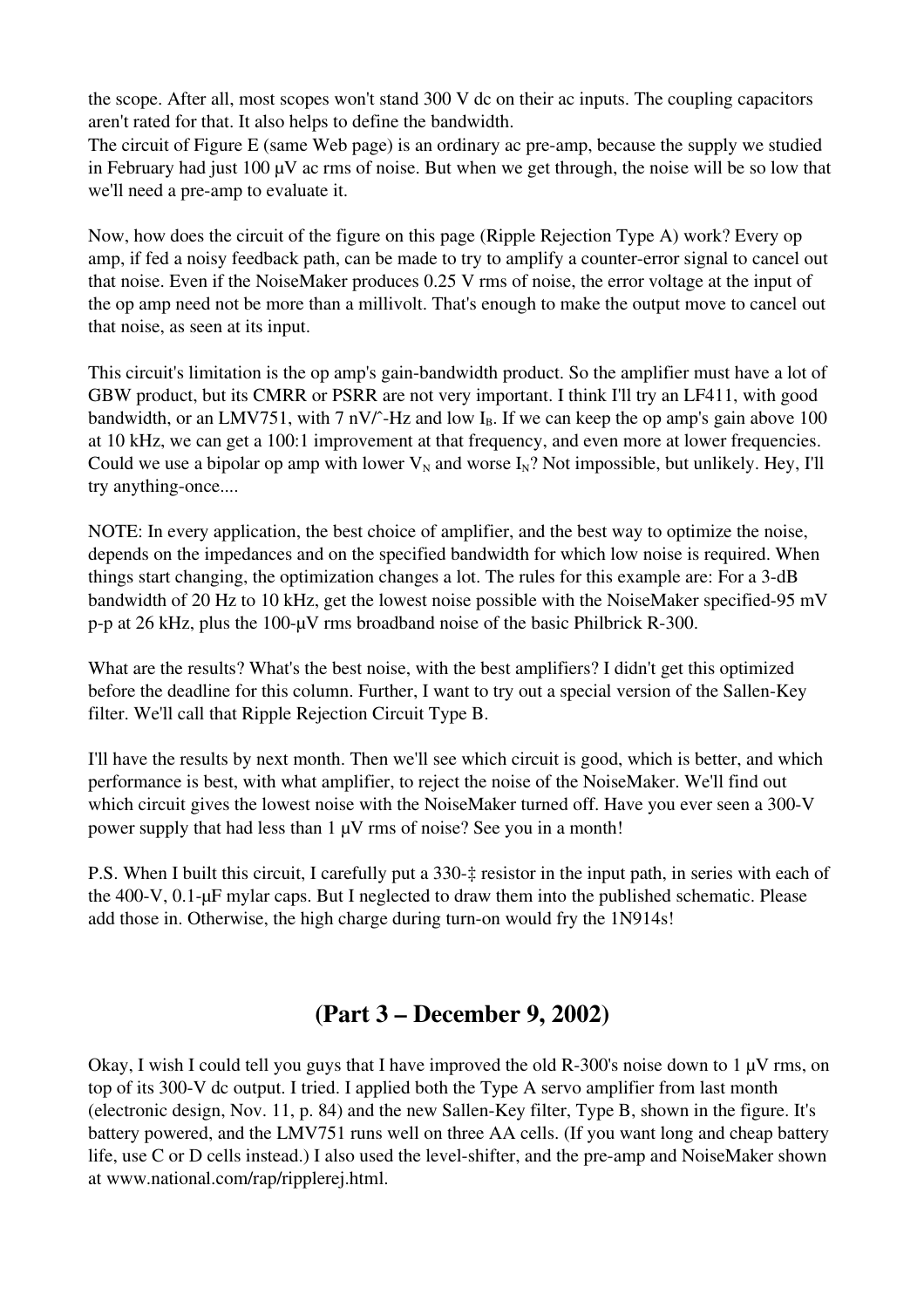the scope. After all, most scopes won't stand 300 V dc on their ac inputs. The coupling capacitors aren't rated for that. It also helps to define the bandwidth.

The circuit of Figure E (same Web page) is an ordinary ac pre-amp, because the supply we studied in February had just 100  $\mu$ V ac rms of noise. But when we get through, the noise will be so low that we'll need a pre-amp to evaluate it.

Now, how does the circuit of the figure on this page (Ripple Rejection Type A) work? Every op amp, if fed a noisy feedback path, can be made to try to amplify a counter-error signal to cancel out that noise. Even if the NoiseMaker produces 0.25 V rms of noise, the error voltage at the input of the op amp need not be more than a millivolt. That's enough to make the output move to cancel out that noise, as seen at its input.

This circuit's limitation is the op amp's gain-bandwidth product. So the amplifier must have a lot of GBW product, but its CMRR or PSRR are not very important. I think I'll try an LF411, with good bandwidth, or an LMV751, with 7 nV/ $\hat{z}$ -Hz and low I<sub>B</sub>. If we can keep the op amp's gain above 100 at 10 kHz, we can get a 100:1 improvement at that frequency, and even more at lower frequencies. Could we use a bipolar op amp with lower  $V_N$  and worse  $I_N$ ? Not impossible, but unlikely. Hey, I'll try anything-once....

NOTE: In every application, the best choice of amplifier, and the best way to optimize the noise, depends on the impedances and on the specified bandwidth for which low noise is required. When things start changing, the optimization changes a lot. The rules for this example are: For a 3-dB bandwidth of 20 Hz to 10 kHz, get the lowest noise possible with the NoiseMaker specified-95 mV p-p at 26 kHz, plus the 100- $\mu$ V rms broadband noise of the basic Philbrick R-300.

What are the results? What's the best noise, with the best amplifiers? I didn't get this optimized before the deadline for this column. Further, I want to try out a special version of the Sallen-Key filter. We'll call that Ripple Rejection Circuit Type B.

I'll have the results by next month. Then we'll see which circuit is good, which is better, and which performance is best, with what amplifier, to reject the noise of the NoiseMaker. We'll find out which circuit gives the lowest noise with the NoiseMaker turned off. Have you ever seen a 300-V power supply that had less than  $1 \mu V$  rms of noise? See you in a month!

P.S. When I built this circuit, I carefully put a 330‡ resistor in the input path, in series with each of the 400-V,  $0.1$ - $\mu$ F mylar caps. But I neglected to draw them into the published schematic. Please add those in. Otherwise, the high charge during turn-on would fry the 1N914s!

## (Part 3 – December 9, 2002)

Okay, I wish I could tell you guys that I have improved the old R-300's noise down to 1  $\mu$ V rms, on top of its 300-V dc output. I tried. I applied both the Type A servo amplifier from last month (electronic design, Nov. 11, p. 84) and the new Sallen-Key filter, Type B, shown in the figure. It's battery powered, and the LMV751 runs well on three AA cells. (If you want long and cheap battery life, use C or D cells instead.) I also used the level-shifter, and the pre-amp and NoiseMaker shown at www.national.com/rap/ripplerej.html.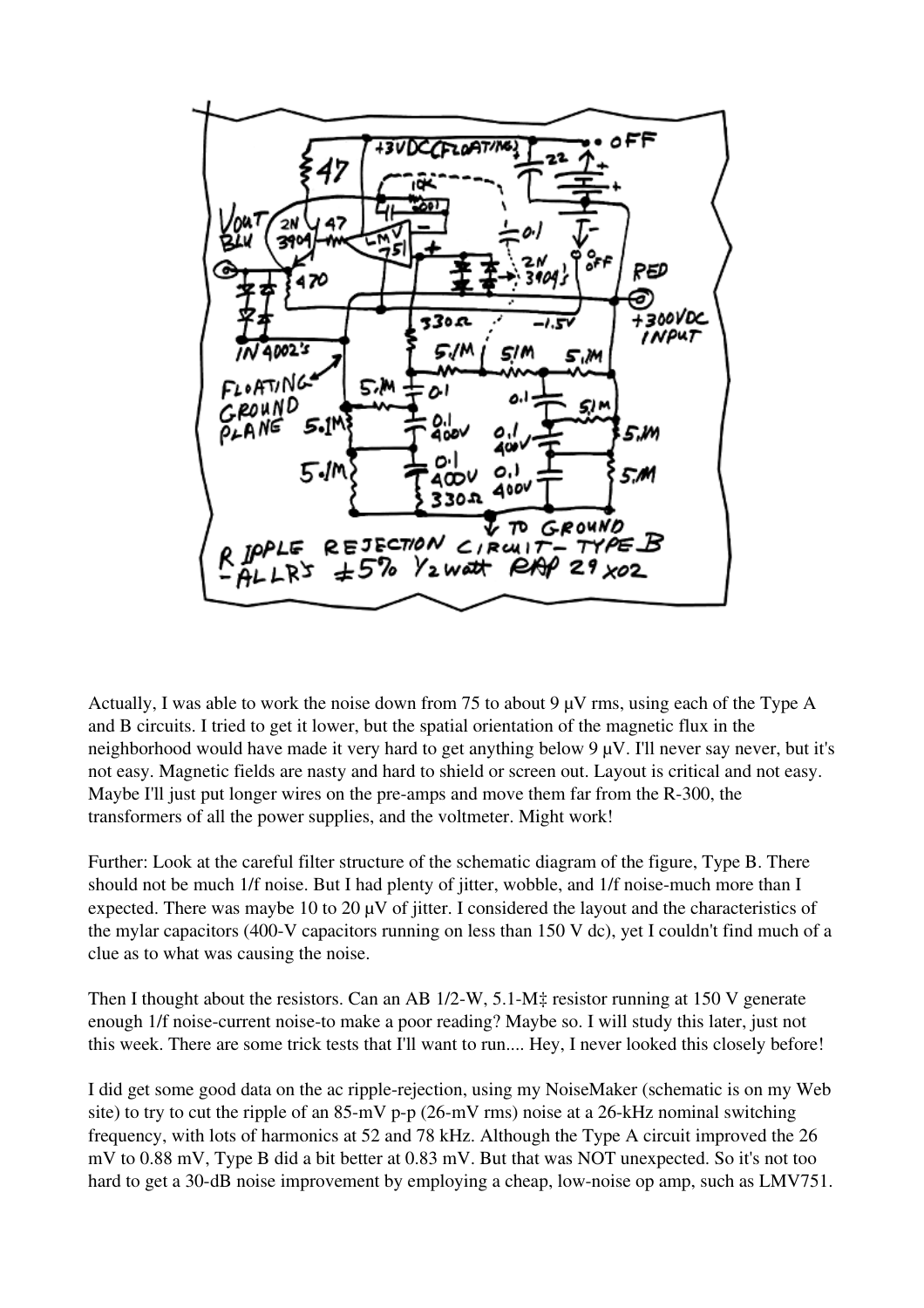

Actually, I was able to work the noise down from 75 to about 9 µV rms, using each of the Type A and B circuits. I tried to get it lower, but the spatial orientation of the magnetic flux in the neighborhood would have made it very hard to get anything below 9 µV. I'll never say never, but it's not easy. Magnetic fields are nasty and hard to shield or screen out. Layout is critical and not easy. Maybe I'll just put longer wires on the pre-amps and move them far from the R-300, the transformers of all the power supplies, and the voltmeter. Might work!

Further: Look at the careful filter structure of the schematic diagram of the figure, Type B. There should not be much 1/f noise. But I had plenty of jitter, wobble, and 1/f noise-much more than I expected. There was maybe 10 to 20  $\mu$ V of jitter. I considered the layout and the characteristics of the mylar capacitors (400-V capacitors running on less than  $150$  V dc), yet I couldn't find much of a clue as to what was causing the noise.

Then I thought about the resistors. Can an AB  $1/2-W$ , 5.1-M‡ resistor running at 150 V generate enough 1/f noise-current noise-to make a poor reading? Maybe so. I will study this later, just not this week. There are some trick tests that I'll want to run.... Hey, I never looked this closely before!

I did get some good data on the ac ripple-rejection, using my NoiseMaker (schematic is on my Web site) to try to cut the ripple of an  $85-mV$  p-p (26-mV rms) noise at a 26-kHz nominal switching frequency, with lots of harmonics at 52 and 78 kHz. Although the Type A circuit improved the 26 mV to 0.88 mV, Type B did a bit better at 0.83 mV. But that was NOT unexpected. So it's not too hard to get a 30-dB noise improvement by employing a cheap, low-noise op amp, such as LMV751.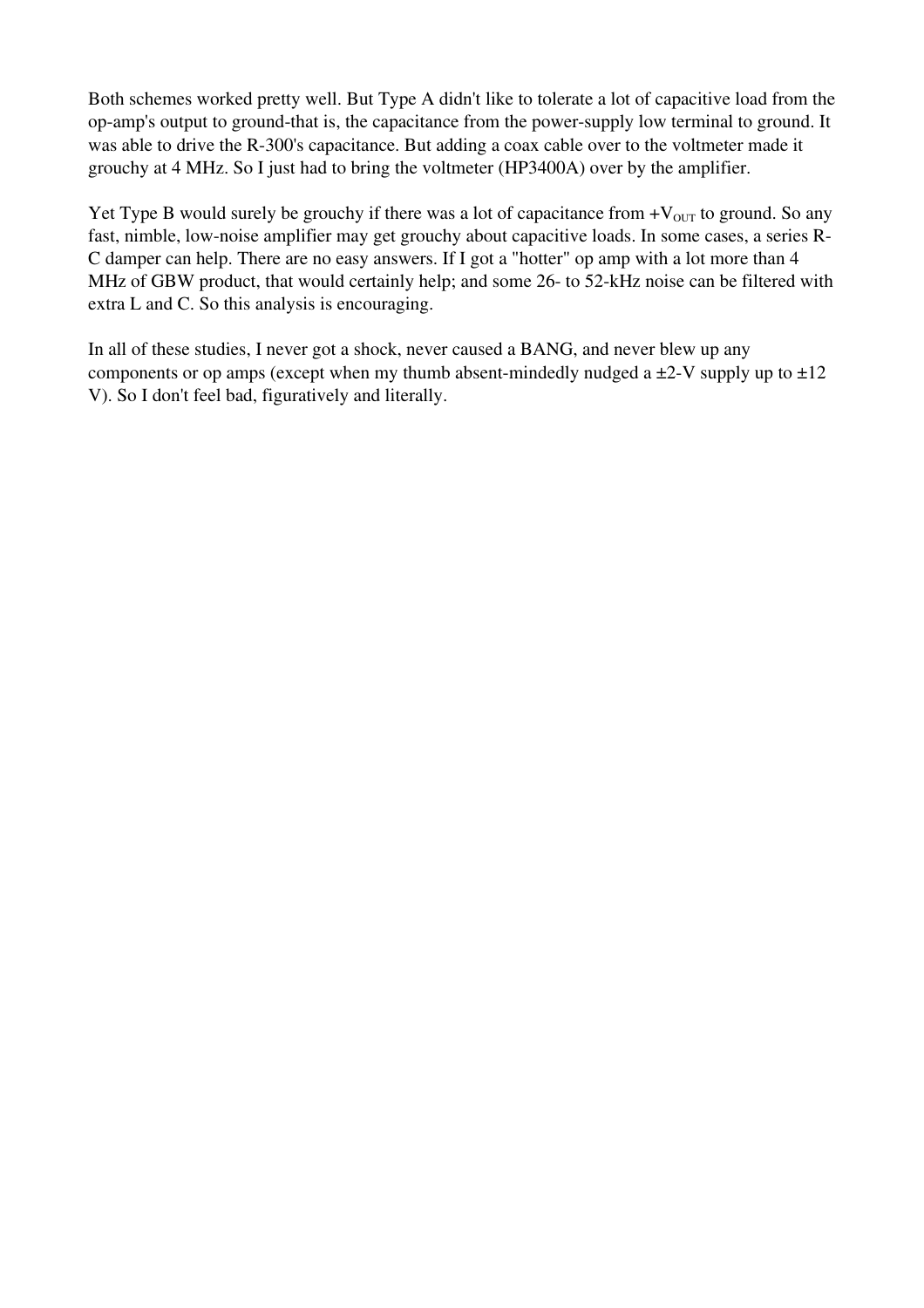Both schemes worked pretty well. But Type A didn't like to tolerate a lot of capacitive load from the op-amp's output to ground-that is, the capacitance from the power-supply low terminal to ground. It was able to drive the R-300's capacitance. But adding a coax cable over to the voltmeter made it grouchy at 4 MHz. So I just had to bring the voltmeter (HP3400A) over by the amplifier.

Yet Type B would surely be grouchy if there was a lot of capacitance from  $+V_{\text{OUT}}$  to ground. So any fast, nimble, low-noise amplifier may get grouchy about capacitive loads. In some cases, a series R-C damper can help. There are no easy answers. If I got a "hotter" op amp with a lot more than 4 MHz of GBW product, that would certainly help; and some 26- to 52-kHz noise can be filtered with extra L and C. So this analysis is encouraging.

In all of these studies, I never got a shock, never caused a BANG, and never blew up any components or op amps (except when my thumb absent-mindedly nudged a  $\pm$ 2-V supply up to  $\pm$ 12 V). So I don't feel bad, figuratively and literally.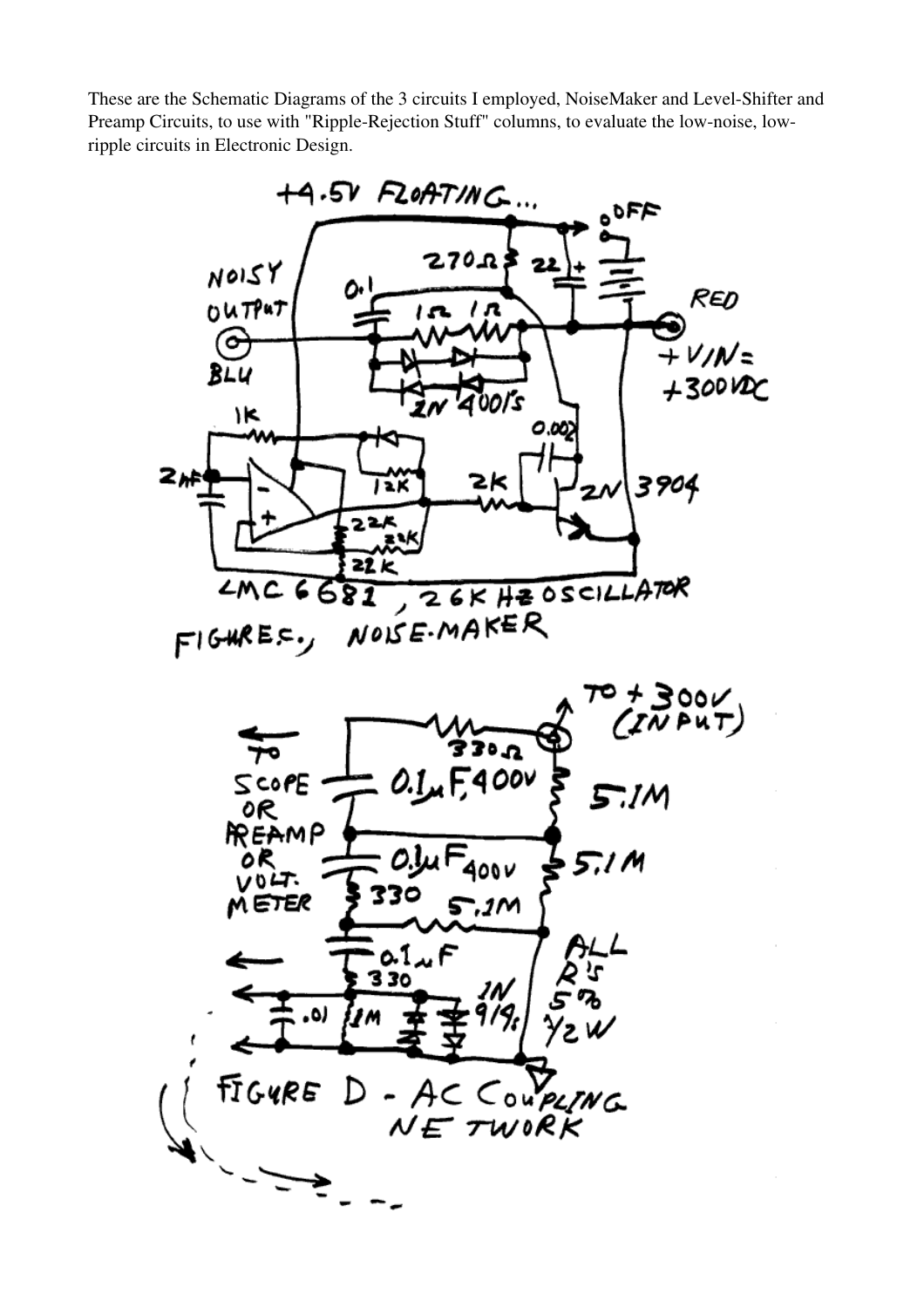These are the Schematic Diagrams of the 3 circuits I employed, NoiseMaker and Level-Shifter and Preamp Circuits, to use with "Ripple-Rejection Stuff" columns, to evaluate the low-noise, lowripple circuits in Electronic Design.